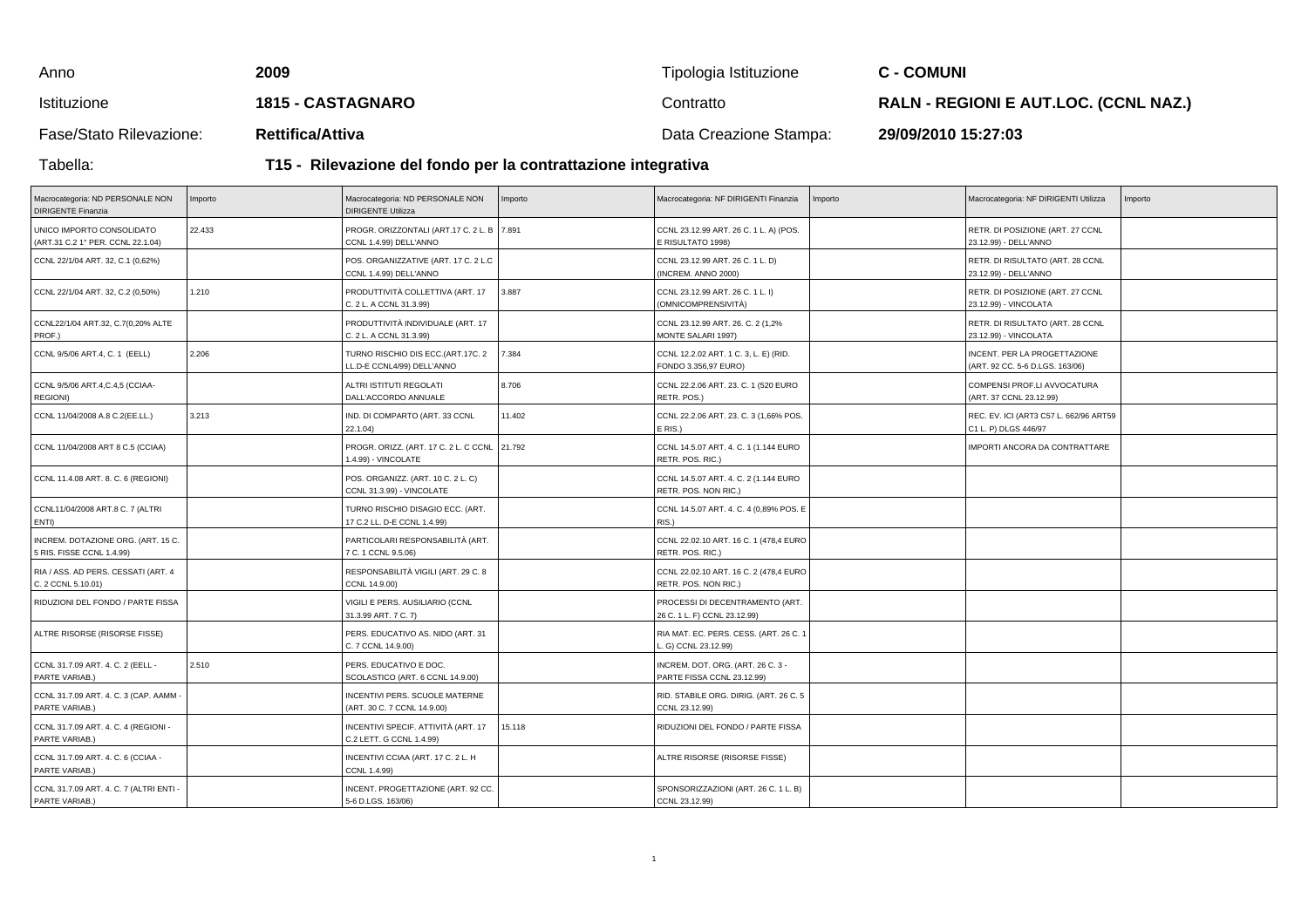| Anno                    | 2009                                                          | Tipologia Istituzione  | <b>C - COMUNI</b>                            |  |  |
|-------------------------|---------------------------------------------------------------|------------------------|----------------------------------------------|--|--|
| Istituzione             | <b>1815 - CASTAGNARO</b>                                      | Contratto              | <b>RALN - REGIONI E AUT.LOC. (CCNL NAZ.)</b> |  |  |
| Fase/Stato Rilevazione: | <b>Rettifica/Attiva</b>                                       | Data Creazione Stampa: | 29/09/2010 15:27:03                          |  |  |
| Tabella:                | T15 - Rilevazione del fondo per la contrattazione integrativa |                        |                                              |  |  |

## **T15 - Rilevazione del fondo per la contrattazione integrativa**

| Macrocategoria: ND PERSONALE NON<br><b>DIRIGENTE Finanzia</b>   | Importo | Macrocategoria: ND PERSONALE NON<br><b>DIRIGENTE Utilizza</b>        | Importo | Macrocategoria: NF DIRIGENTI Finanzia                           | Importo | Macrocategoria: NF DIRIGENTI Utilizza                           | Importo |
|-----------------------------------------------------------------|---------|----------------------------------------------------------------------|---------|-----------------------------------------------------------------|---------|-----------------------------------------------------------------|---------|
| UNICO IMPORTO CONSOLIDATO<br>(ART.31 C.2 1° PER. CCNL 22.1.04)  | 22.433  | PROGR. ORIZZONTALI (ART.17 C. 2 L. B 7.891<br>CCNL 1.4.99) DELL'ANNO |         | CCNL 23.12.99 ART. 26 C. 1 L. A) (POS.<br>E RISULTATO 1998)     |         | RETR. DI POSIZIONE (ART. 27 CCNL<br>23.12.99) - DELL'ANNO       |         |
| CCNL 22/1/04 ART. 32, C.1 (0,62%)                               |         | POS. ORGANIZZATIVE (ART. 17 C. 2 L.C<br>CCNL 1.4.99) DELL'ANNO       |         | CCNL 23.12.99 ART. 26 C. 1 L. D)<br>(INCREM. ANNO 2000)         |         | RETR. DI RISULTATO (ART. 28 CCNL<br>23.12.99) - DELL'ANNO       |         |
| CCNL 22/1/04 ART. 32, C.2 (0,50%)                               | 1.210   | PRODUTTIVITÀ COLLETTIVA (ART. 17<br>C. 2 L. A CCNL 31.3.99)          | 3.887   | CCNL 23.12.99 ART. 26 C. 1 L. I)<br>(OMNICOMPRENSIVITÀ)         |         | RETR. DI POSIZIONE (ART. 27 CCNL<br>23.12.99) - VINCOLATA       |         |
| CCNL22/1/04 ART.32, C.7(0,20% ALTE<br>PROF.)                    |         | PRODUTTIVITÀ INDIVIDUALE (ART. 17<br>C. 2 L. A CCNL 31.3.99)         |         | CCNL 23.12.99 ART. 26. C. 2 (1,2%<br>MONTE SALARI 1997)         |         | RETR. DI RISULTATO (ART. 28 CCNL<br>23.12.99) - VINCOLATA       |         |
| CCNL 9/5/06 ART.4, C. 1 (EELL)                                  | 2.206   | TURNO RISCHIO DIS ECC.(ART.17C. 2<br>LL.D-E CCNL4/99) DELL'ANNO      | 7.384   | CCNL 12.2.02 ART. 1 C. 3, L. E) (RID.<br>FONDO 3.356,97 EURO)   |         | INCENT. PER LA PROGETTAZIONE<br>(ART. 92 CC. 5-6 D.LGS. 163/06) |         |
| CCNL 9/5/06 ART.4, C.4, 5 (CCIAA-<br><b>REGIONI)</b>            |         | ALTRI ISTITUTI REGOLATI<br>DALL'ACCORDO ANNUALE                      | 8.706   | CCNL 22.2.06 ART. 23. C. 1 (520 EURO<br>RETR. POS.)             |         | COMPENSI PROF.LI AVVOCATURA<br>(ART. 37 CCNL 23.12.99)          |         |
| CCNL 11/04/2008 A.8 C.2(EE.LL.)                                 | 3.213   | IND. DI COMPARTO (ART. 33 CCNL<br>22.1.04)                           | 11.402  | CCNL 22.2.06 ART. 23. C. 3 (1,66% POS.<br>E RIS.)               |         | REC. EV. ICI (ART3 C57 L. 662/96 ART59<br>C1 L. P) DLGS 446/97  |         |
| CCNL 11/04/2008 ART 8 C.5 (CCIAA)                               |         | PROGR. ORIZZ. (ART. 17 C. 2 L. C CCNL<br>1.4.99) - VINCOLATE         | 21.792  | CCNL 14.5.07 ART. 4. C. 1 (1.144 EURO<br>RETR. POS. RIC.)       |         | IMPORTI ANCORA DA CONTRATTARE                                   |         |
| CCNL 11.4.08 ART. 8. C. 6 (REGIONI)                             |         | POS. ORGANIZZ. (ART. 10 C. 2 L. C)<br>CCNL 31.3.99) - VINCOLATE      |         | CCNL 14.5.07 ART. 4. C. 2 (1.144 EURO<br>RETR. POS. NON RIC.)   |         |                                                                 |         |
| CCNL11/04/2008 ART.8 C. 7 (ALTRI<br>ENTI)                       |         | TURNO RISCHIO DISAGIO ECC. (ART.<br>17 C.2 LL. D-E CCNL 1.4.99)      |         | CCNL 14.5.07 ART. 4. C. 4 (0,89% POS. E<br>RIS.)                |         |                                                                 |         |
| INCREM. DOTAZIONE ORG. (ART. 15 C.<br>5 RIS. FISSE CCNL 1.4.99) |         | PARTICOLARI RESPONSABILITÀ (ART.<br>7 C. 1 CCNL 9.5.06)              |         | CCNL 22.02.10 ART. 16 C. 1 (478,4 EURO<br>RETR. POS. RIC.)      |         |                                                                 |         |
| RIA / ASS. AD PERS. CESSATI (ART. 4<br>C. 2 CCNL 5.10.01)       |         | RESPONSABILITÀ VIGILI (ART. 29 C. 8<br>CCNL 14.9.00)                 |         | CCNL 22.02.10 ART. 16 C. 2 (478,4 EURO<br>RETR. POS. NON RIC.)  |         |                                                                 |         |
| RIDUZIONI DEL FONDO / PARTE FISSA                               |         | VIGILI E PERS. AUSILIARIO (CCNL<br>31.3.99 ART. 7 C. 7)              |         | PROCESSI DI DECENTRAMENTO (ART.<br>26 C. 1 L. F) CCNL 23.12.99) |         |                                                                 |         |
| ALTRE RISORSE (RISORSE FISSE)                                   |         | PERS. EDUCATIVO AS. NIDO (ART. 31<br>C. 7 CCNL 14.9.00)              |         | RIA MAT. EC. PERS. CESS. (ART. 26 C. 1<br>G) CCNL 23.12.99)     |         |                                                                 |         |
| CCNL 31.7.09 ART. 4. C. 2 (EELL -<br>PARTE VARIAB.)             | 2.510   | PERS. EDUCATIVO E DOC.<br>SCOLASTICO (ART. 6 CCNL 14.9.00)           |         | INCREM. DOT. ORG. (ART. 26 C. 3 -<br>PARTE FISSA CCNL 23.12.99) |         |                                                                 |         |
| CCNL 31.7.09 ART. 4. C. 3 (CAP. AAMM -<br>PARTE VARIAB.)        |         | INCENTIVI PERS. SCUOLE MATERNE<br>(ART. 30 C. 7 CCNL 14.9.00)        |         | RID. STABILE ORG. DIRIG. (ART. 26 C. 5<br>CCNL 23.12.99)        |         |                                                                 |         |
| CCNL 31.7.09 ART. 4. C. 4 (REGIONI -<br>PARTE VARIAB.)          |         | INCENTIVI SPECIF. ATTIVITÀ (ART. 17<br>C.2 LETT. G CCNL 1.4.99)      | 15.118  | RIDUZIONI DEL FONDO / PARTE FISSA                               |         |                                                                 |         |
| CCNL 31.7.09 ART. 4. C. 6 (CCIAA -<br>PARTE VARIAB.)            |         | INCENTIVI CCIAA (ART. 17 C. 2 L. H<br>CCNL 1.4.99)                   |         | ALTRE RISORSE (RISORSE FISSE)                                   |         |                                                                 |         |
| CCNL 31.7.09 ART. 4. C. 7 (ALTRI ENTI -<br>PARTE VARIAB.)       |         | INCENT. PROGETTAZIONE (ART. 92 CC.<br>5-6 D.LGS. 163/06)             |         | SPONSORIZZAZIONI (ART. 26 C. 1 L. B)<br>CCNL 23.12.99)          |         |                                                                 |         |